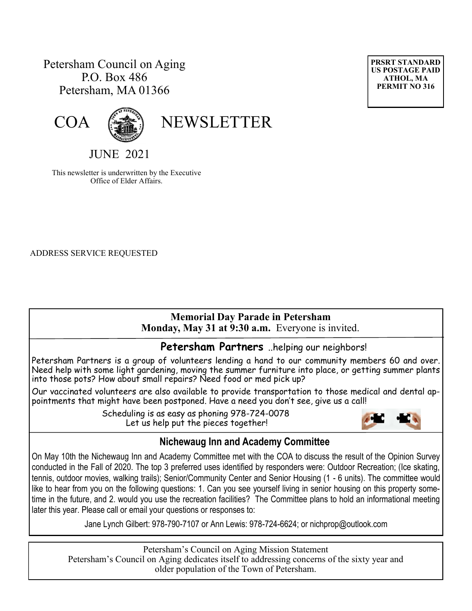# Petersham Council on Aging P.O. Box 486 Petersham, MA 01366





COA (

JUNE 2021

This newsletter is underwritten by the Executive Office of Elder Affairs.

ADDRESS SERVICE REQUESTED

# **Memorial Day Parade in Petersham**

 **Monday, May 31 at 9:30 a.m.** Everyone is invited.

#### **Petersham Partners** ..helping our neighbors!

Petersham Partners is a group of volunteers lending a hand to our community members 60 and over. Need help with some light gardening, moving the summer furniture into place, or getting summer plants into those pots? How about small repairs? Need food or med pick up?

Our vaccinated volunteers are also available to provide transportation to those medical and dental appointments that might have been postponed. Have a need you don't see, give us a call!

> Scheduling is as easy as phoning 978-724-0078 Let us help put the pieces together!



#### **Nichewaug Inn and Academy Committee**

On May 10th the Nichewaug Inn and Academy Committee met with the COA to discuss the result of the Opinion Survey conducted in the Fall of 2020. The top 3 preferred uses identified by responders were: Outdoor Recreation; (Ice skating, tennis, outdoor movies, walking trails); Senior/Community Center and Senior Housing (1 - 6 units). The committee would like to hear from you on the following questions: 1. Can you see yourself living in senior housing on this property sometime in the future, and 2. would you use the recreation facilities? The Committee plans to hold an informational meeting later this year. Please call or email your questions or responses to:

Jane Lynch Gilbert: 978-790-7107 or Ann Lewis: 978-724-6624; or nichprop@outlook.com

Petersham's Council on Aging Mission Statement Petersham's Council on Aging dedicates itself to addressing concerns of the sixty year and older population of the Town of Petersham.

**PRSRT STANDARD US POSTAGE PAID ATHOL, MA PERMIT NO 316**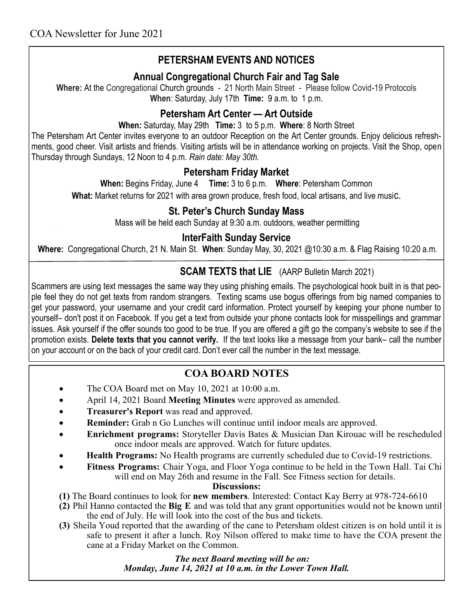# **PETERSHAM EVENTS AND NOTICES**

#### **Annual Congregational Church Fair and Tag Sale**

**Where:** At the Congregational Church grounds - 21 North Main Street - Please follow Covid-19 Protocols **When**: Saturday, July 17th **Time:** 9 a.m. to 1 p.m.

#### **Petersham Art Center — Art Outside**

**When:** Saturday, May 29th **Time:** 3 to 5 p.m. **Where**: 8 North Street

The Petersham Art Center invites everyone to an outdoor Reception on the Art Center grounds. Enjoy delicious refreshments, good cheer. Visit artists and friends. Visiting artists will be in attendance working on projects. Visit the Shop, open Thursday through Sundays, 12 Noon to 4 p.m. *Rain date: May 30th.*

#### **Petersham Friday Market**

**When:** Begins Friday, June 4 **Time:** 3 to 6 p.m. **Where**: Petersham Common **What:** Market returns for 2021 with area grown produce, fresh food, local artisans, and live music.

#### **St. Peter's Church Sunday Mass**

Mass will be held each Sunday at 9:30 a.m. outdoors, weather permitting

#### **InterFaith Sunday Service**

**Where:** Congregational Church, 21 N. Main St. **When**: Sunday May, 30, 2021 @10:30 a.m. & Flag Raising 10:20 a.m.

## **SCAM TEXTS that LIE** (AARP Bulletin March 2021)

Scammers are using text messages the same way they using phishing emails. The psychological hook built in is that people feel they do not get texts from random strangers. Texting scams use bogus offerings from big named companies to get your password, your username and your credit card information. Protect yourself by keeping your phone number to yourself– don't post it on Facebook. If you get a text from outside your phone contacts look for misspellings and grammar issues. Ask yourself if the offer sounds too good to be true. If you are offered a gift go the company's website to see if the promotion exists. **Delete texts that you cannot verify.** If the text looks like a message from your bank– call the number on your account or on the back of your credit card. Don't ever call the number in the text message.

## **COA BOARD NOTES**

- The COA Board met on May 10, 2021 at 10:00 a.m.
- April 14, 2021 Board **Meeting Minutes** were approved as amended.
- **Treasurer's Report** was read and approved.
- **Reminder:** Grab n Go Lunches will continue until indoor meals are approved.
- **Enrichment programs:** Storyteller Davis Bates & Musician Dan Kirouac will be rescheduled once indoor meals are approved. Watch for future updates.
- **Health Programs:** No Health programs are currently scheduled due to Covid-19 restrictions.
- **Fitness Programs:** Chair Yoga, and Floor Yoga continue to be held in the Town Hall. Tai Chi will end on May 26th and resume in the Fall. See Fitness section for details.

**Discussions:**

- **(1)** The Board continues to look for **new members**. Interested: Contact Kay Berry at 978-724-6610
- **(2)** Phil Hanno contacted the **Big E** and was told that any grant opportunities would not be known until the end of July. He will look into the cost of the bus and tickets.
- **(3)** Sheila Youd reported that the awarding of the cane to Petersham oldest citizen is on hold until it is safe to present it after a lunch. Roy Nilson offered to make time to have the COA present the cane at a Friday Market on the Common.

 *The next Board meeting will be on: Monday, June 14, 2021 at 10 a.m. in the Lower Town Hall.*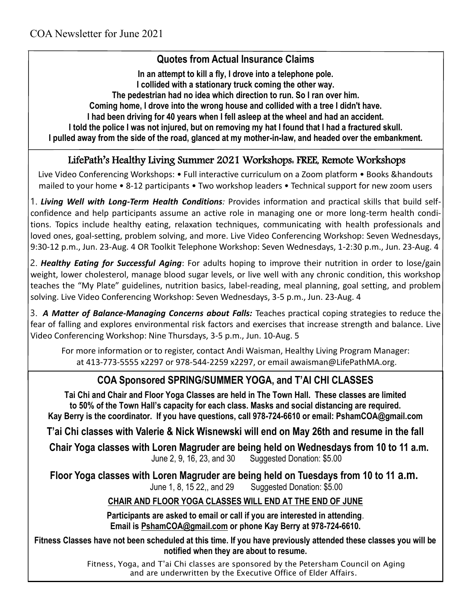#### **Quotes from Actual Insurance Claims**

**In an attempt to kill a fly, I drove into a telephone pole. I collided with a stationary truck coming the other way. The pedestrian had no idea which direction to run. So I ran over him. Coming home, I drove into the wrong house and collided with a tree I didn't have. I had been driving for 40 years when I fell asleep at the wheel and had an accident. I told the police I was not injured, but on removing my hat I found that I had a fractured skull. I pulled away from the side of the road, glanced at my mother-in-law, and headed over the embankment.**

#### LifePath's Healthy Living Summer 2021 Workshops: FREE, Remote Workshops

Live Video Conferencing Workshops: • Full interactive curriculum on a Zoom platform • Books &handouts mailed to your home • 8-12 participants • Two workshop leaders • Technical support for new zoom users

1. *Living Well with Long-Term Health Conditions:* Provides information and practical skills that build selfconfidence and help participants assume an active role in managing one or more long-term health conditions. Topics include healthy eating, relaxation techniques, communicating with health professionals and loved ones, goal-setting, problem solving, and more. Live Video Conferencing Workshop: Seven Wednesdays, 9:30-12 p.m., Jun. 23-Aug. 4 OR Toolkit Telephone Workshop: Seven Wednesdays, 1-2:30 p.m., Jun. 23-Aug. 4

2. *Healthy Eating for Successful Aging*: For adults hoping to improve their nutrition in order to lose/gain weight, lower cholesterol, manage blood sugar levels, or live well with any chronic condition, this workshop teaches the "My Plate" guidelines, nutrition basics, label-reading, meal planning, goal setting, and problem solving. Live Video Conferencing Workshop: Seven Wednesdays, 3-5 p.m., Jun. 23-Aug. 4

3. *A Matter of Balance-Managing Concerns about Falls:* Teaches practical coping strategies to reduce the fear of falling and explores environmental risk factors and exercises that increase strength and balance. Live Video Conferencing Workshop: Nine Thursdays, 3-5 p.m., Jun. 10-Aug. 5

For more information or to register, contact Andi Waisman, Healthy Living Program Manager: at 413-773-5555 x2297 or 978-544-2259 x2297, or email awaisman@LifePathMA.org.

## **COA Sponsored SPRING/SUMMER YOGA, and T'AI CHI CLASSES**

**Tai Chi and Chair and Floor Yoga Classes are held in The Town Hall. These classes are limited to 50% of the Town Hall's capacity for each class. Masks and social distancing are required. Kay Berry is the coordinator. If you have questions, call 978-724-6610 or email: PshamCOA@gmail.com**

**T'ai Chi classes with Valerie & Nick Wisnewski will end on May 26th and resume in the fall** 

 **Chair Yoga classes with Loren Magruder are being held on Wednesdays from 10 to 11 a.m.** June 2, 9, 16, 23, and 30 Suggested Donation: \$5.00

**Floor Yoga classes with Loren Magruder are being held on Tuesdays from 10 to 11 a.m.** June 1, 8, 15 22,, and 29 Suggested Donation: \$5.00

#### **CHAIR AND FLOOR YOGA CLASSES WILL END AT THE END OF JUNE**

**Participants are asked to email or call if you are interested in attending**. **Email is [PshamCOA@gmail.com](mailto:PshamCOA@gmail.com) or phone Kay Berry at 978-724-6610.** 

**Fitness Classes have not been scheduled at this time. If you have previously attended these classes you will be notified when they are about to resume.**

> Fitness, Yoga, and T'ai Chi classes are sponsored by the Petersham Council on Aging and are underwritten by the Executive Office of Elder Affairs.